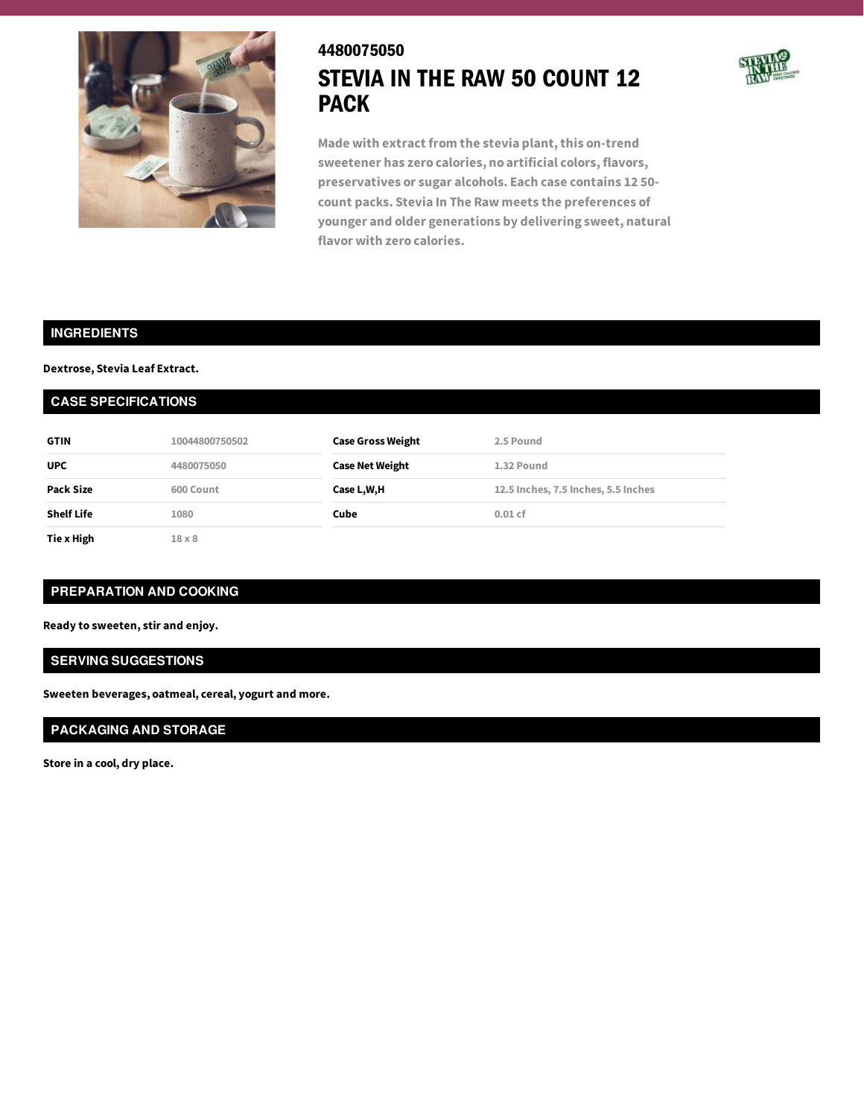

# 4480075050 STEVIA IN THE RAW 50 COUNT 12 PACK



**Made with extract from the stevia plant,this on-trend sweetener has zero calories, no artificial colors, flavors, preservatives or sugar alcohols. Each case contains 12 50 count packs. Stevia In The Raw meets the preferences of younger and older generations by delivering sweet, natural flavor with zero calories.**

## **INGREDIENTS**

#### **Dextrose, Stevia Leaf Extract.**

### **CASE SPECIFICATIONS**

| <b>GTIN</b>       | 10044800750502 | <b>Case Gross Weight</b> | 2.5 Pound                           |
|-------------------|----------------|--------------------------|-------------------------------------|
| <b>UPC</b>        | 4480075050     | <b>Case Net Weight</b>   | 1.32 Pound                          |
| Pack Size         | 600 Count      | Case L,W,H               | 12.5 Inches, 7.5 Inches, 5.5 Inches |
| <b>Shelf Life</b> | 1080           | Cube                     | $0.01$ cf                           |
| Tie x High        | $18 \times 8$  |                          |                                     |

## **PREPARATION AND COOKING**

**Ready to sweeten, stir and enjoy.**

### **SERVING SUGGESTIONS**

**Sweeten beverages, oatmeal, cereal, yogurt and more.**

## **PACKAGING AND STORAGE**

**Store in a cool, dry place.**